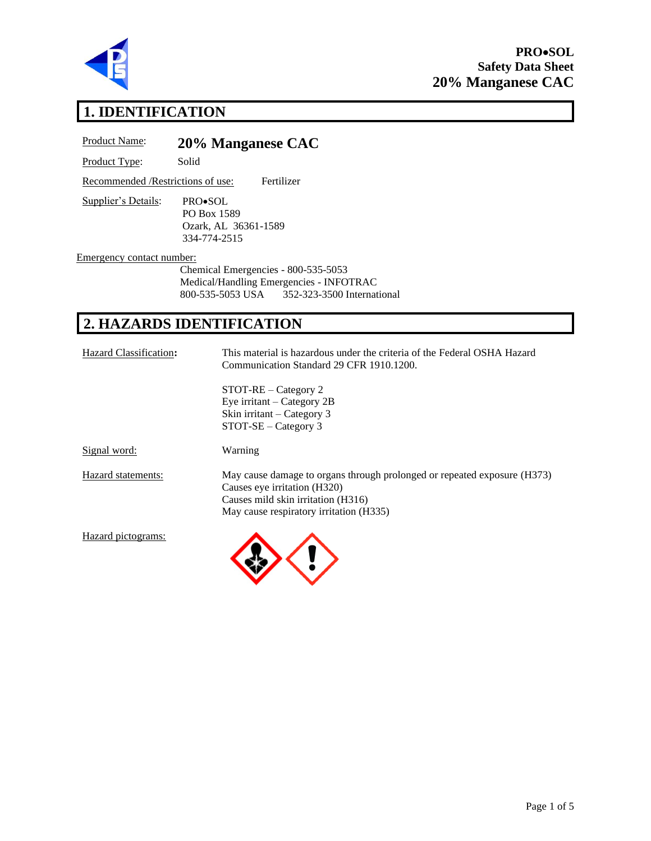

# **1. IDENTIFICATION**

Product Name: **20% Manganese CAC**

Product Type: Solid

Recommended /Restrictions of use: Fertilizer

Supplier's Details: PRO•SOL PO Box 1589 Ozark, AL 36361-1589 334-774-2515

Emergency contact number:

Chemical Emergencies - 800-535-5053 Medical/Handling Emergencies - INFOTRAC<br>800-535-5053 USA 352-323-3500 Internat 352-323-3500 International

## **2. HAZARDS IDENTIFICATION**

| Hazard Classification: | This material is hazardous under the criteria of the Federal OSHA Hazard<br>Communication Standard 29 CFR 1910.1200.                                                                      |  |
|------------------------|-------------------------------------------------------------------------------------------------------------------------------------------------------------------------------------------|--|
|                        | $STOT-RE - Category$ 2<br>Eye irritant $-$ Category 2B<br>Skin irritant – Category 3<br>$STOT-SE - Category$ 3                                                                            |  |
| Signal word:           | Warning                                                                                                                                                                                   |  |
| Hazard statements:     | May cause damage to organs through prolonged or repeated exposure (H373)<br>Causes eye irritation (H320)<br>Causes mild skin irritation (H316)<br>May cause respiratory irritation (H335) |  |
| Hazard pictograms:     |                                                                                                                                                                                           |  |

**NV** 

O

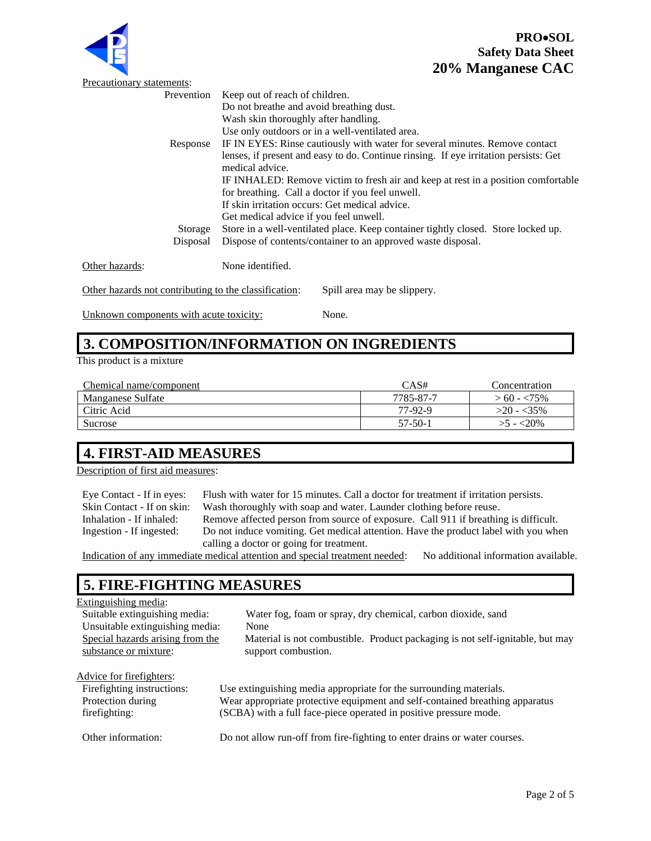

| Precautionary statements:                             |                                                                                      |  |  |
|-------------------------------------------------------|--------------------------------------------------------------------------------------|--|--|
| Prevention                                            | Keep out of reach of children.                                                       |  |  |
|                                                       | Do not breather and avoid breathing dust.                                            |  |  |
|                                                       | Wash skin thoroughly after handling.                                                 |  |  |
|                                                       | Use only outdoors or in a well-ventilated area.                                      |  |  |
| Response                                              | IF IN EYES: Rinse cautiously with water for several minutes. Remove contact          |  |  |
|                                                       | lenses, if present and easy to do. Continue rinsing. If eye irritation persists: Get |  |  |
|                                                       | medical advice.                                                                      |  |  |
|                                                       | IF INHALED: Remove victim to fresh air and keep at rest in a position comfortable    |  |  |
|                                                       | for breathing. Call a doctor if you feel unwell.                                     |  |  |
|                                                       | If skin irritation occurs: Get medical advice.                                       |  |  |
|                                                       | Get medical advice if you feel unwell.                                               |  |  |
| Storage                                               | Store in a well-ventilated place. Keep container tightly closed. Store locked up.    |  |  |
| Disposal                                              | Dispose of contents/container to an approved waste disposal.                         |  |  |
| Other hazards:                                        | None identified.                                                                     |  |  |
| Other hazards not contributing to the classification: | Spill area may be slippery.                                                          |  |  |

Unknown components with acute toxicity: None.

### **3. COMPOSITION/INFORMATION ON INGREDIENTS**

This product is a mixture

| Chemical name/component | CAS#      | Concentration |
|-------------------------|-----------|---------------|
| Manganese Sulfate       | 7785-87-7 | $> 60 - 75\%$ |
| Citric Acid             | 77-92-9   | $>20 - 35\%$  |
| Sucrose                 | $57-50-1$ | $>5 - 20\%$   |

#### **4. FIRST-AID MEASURES**

Description of first aid measures:

Eye Contact - If in eyes: Flush with water for 15 minutes. Call a doctor for treatment if irritation persists. Skin Contact - If on skin: Wash thoroughly with soap and water. Launder clothing before reuse. Inhalation - If inhaled: Remove affected person from source of exposure. Call 911 if breathing is difficult. Ingestion - If ingested: Do not induce vomiting. Get medical attention. Have the product label with you when calling a doctor or going for treatment.

Indication of any immediate medical attention and special treatment needed: No additional information available.

#### **5. FIRE-FIGHTING MEASURES**

#### Extinguishing media:

| Suitable extinguishing media:                             | Water fog, foam or spray, dry chemical, carbon dioxide, sand                                         |
|-----------------------------------------------------------|------------------------------------------------------------------------------------------------------|
| Unsuitable extinguishing media:                           | None                                                                                                 |
| Special hazards arising from the<br>substance or mixture: | Material is not combustible. Product packaging is not self-ignitable, but may<br>support combustion. |
| Advice for firefighters:                                  |                                                                                                      |
| Firefighting instructions:                                | Use extinguishing media appropriate for the surrounding materials.                                   |
| Protection during                                         | Wear appropriate protective equipment and self-contained breathing apparatus                         |
| firefighting:                                             | (SCBA) with a full face-piece operated in positive pressure mode.                                    |
| Other information:                                        | Do not allow run-off from fire-fighting to enter drains or water courses.                            |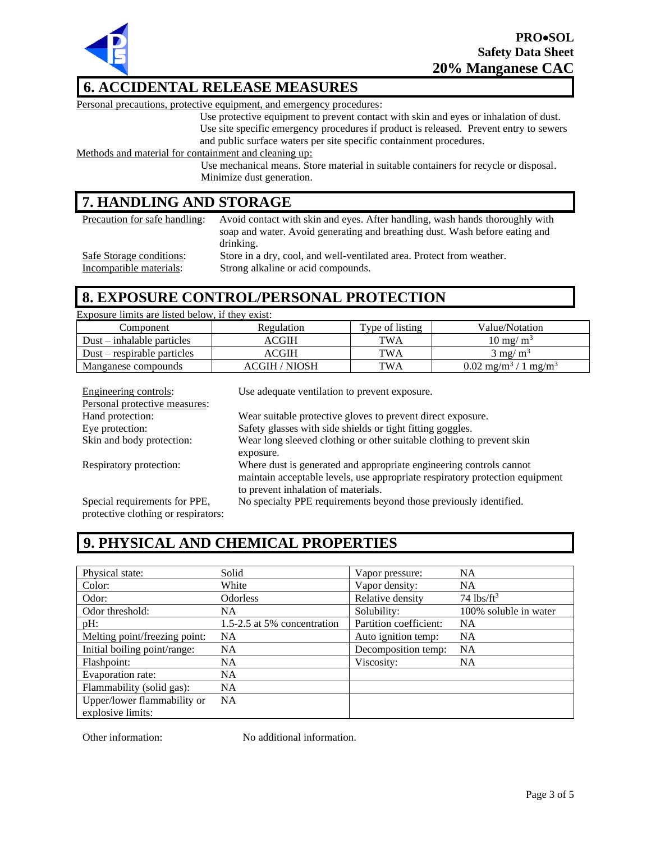

# **6. ACCIDENTAL RELEASE MEASURES**

Personal precautions, protective equipment, and emergency procedures:

Use protective equipment to prevent contact with skin and eyes or inhalation of dust. Use site specific emergency procedures if product is released. Prevent entry to sewers and public surface waters per site specific containment procedures.

Methods and material for containment and cleaning up:

Use mechanical means. Store material in suitable containers for recycle or disposal. Minimize dust generation.

#### **7. HANDLING AND STORAGE**

| Precaution for safe handling: | Avoid contact with skin and eyes. After handling, wash hands thoroughly with |
|-------------------------------|------------------------------------------------------------------------------|
|                               | soap and water. Avoid generating and breathing dust. Wash before eating and  |
|                               | drinking.                                                                    |
| Safe Storage conditions:      | Store in a dry, cool, and well-ventilated area. Protect from weather.        |
| Incompatible materials:       | Strong alkaline or acid compounds.                                           |

#### **8. EXPOSURE CONTROL/PERSONAL PROTECTION**

Exposure limits are listed below, if they exist:

| Component                      | Regulation    | Type of listing | Value/Notation                           |
|--------------------------------|---------------|-----------------|------------------------------------------|
| $Dust - inhalable \ particles$ | ACGIH         | TWA             | $10 \text{ m}$ g/ m $^3$                 |
| $Dust$ – respirable particles  | ACGIH         | TWA             | $3 \text{ mg/m}^3$                       |
| Manganese compounds            | ACGIH / NIOSH | TWA             | $0.02 \text{ mg/m}^3 / 1 \text{ mg/m}^3$ |

| Engineering controls:         | Use adequate ventilation to prevent exposure.                                |  |
|-------------------------------|------------------------------------------------------------------------------|--|
| Personal protective measures: |                                                                              |  |
| Hand protection:              | Wear suitable protective gloves to prevent direct exposure.                  |  |
| Eye protection:               | Safety glasses with side shields or tight fitting goggles.                   |  |
| Skin and body protection:     | Wear long sleeved clothing or other suitable clothing to prevent skin        |  |
|                               | exposure.                                                                    |  |
| Respiratory protection:       | Where dust is generated and appropriate engineering controls cannot          |  |
|                               | maintain acceptable levels, use appropriate respiratory protection equipment |  |
|                               | to prevent inhalation of materials.                                          |  |
| Special requirements for PPE, | No specialty PPE requirements beyond those previously identified.            |  |

protective clothing or respirators:

# **9. PHYSICAL AND CHEMICAL PROPERTIES**

| Physical state:               | Solid                       | Vapor pressure:        | <b>NA</b>                |
|-------------------------------|-----------------------------|------------------------|--------------------------|
| Color:                        | White                       | Vapor density:         | <b>NA</b>                |
| Odor:                         | <b>Odorless</b>             | Relative density       | $74$ lbs/ft <sup>3</sup> |
| Odor threshold:               | NA                          | Solubility:            | 100% soluble in water    |
| $pH$ :                        | 1.5-2.5 at 5% concentration | Partition coefficient: | <b>NA</b>                |
| Melting point/freezing point: | <b>NA</b>                   | Auto ignition temp:    | <b>NA</b>                |
| Initial boiling point/range:  | <b>NA</b>                   | Decomposition temp:    | <b>NA</b>                |
| Flashpoint:                   | <b>NA</b>                   | Viscosity:             | <b>NA</b>                |
| Evaporation rate:             | <b>NA</b>                   |                        |                          |
| Flammability (solid gas):     | <b>NA</b>                   |                        |                          |
| Upper/lower flammability or   | <b>NA</b>                   |                        |                          |
| explosive limits:             |                             |                        |                          |

Other information: No additional information.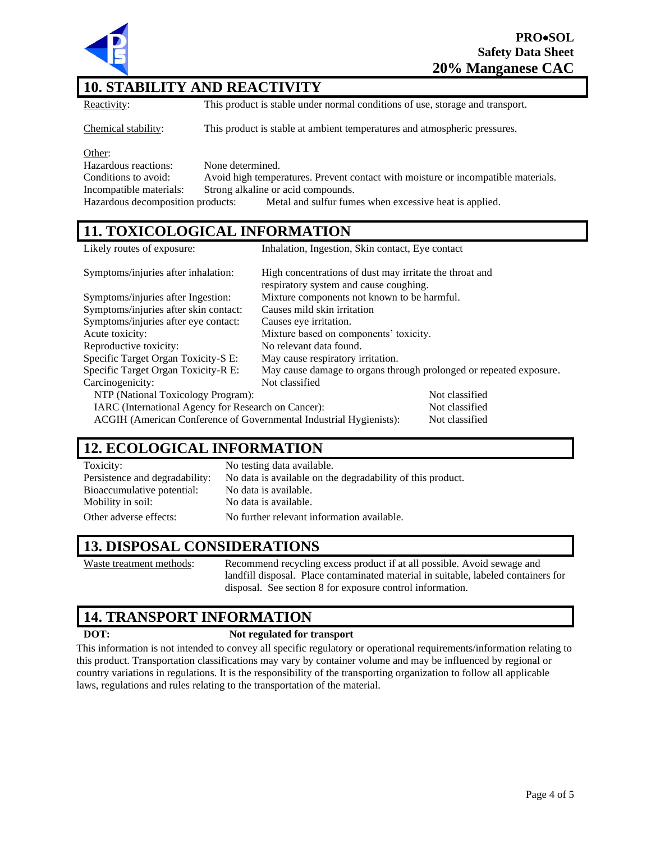

### **10. STABILITY AND REACTIVITY**

Reactivity: This product is stable under normal conditions of use, storage and transport.

Chemical stability: This product is stable at ambient temperatures and atmospheric pressures.

Other:

Hazardous reactions: None determined. Conditions to avoid: Avoid high temperatures. Prevent contact with moisture or incompatible materials. Incompatible materials: Strong alkaline or acid compounds. Hazardous decomposition products: Metal and sulfur fumes when excessive heat is applied.

#### **11. TOXICOLOGICAL INFORMATION**

Likely routes of exposure: Inhalation, Ingestion, Skin contact, Eye contact

| Symptoms/injuries after inhalation:                                | High concentrations of dust may irritate the throat and<br>respiratory system and cause coughing. |                |  |
|--------------------------------------------------------------------|---------------------------------------------------------------------------------------------------|----------------|--|
| Symptoms/injuries after Ingestion:                                 | Mixture components not known to be harmful.                                                       |                |  |
| Symptoms/injuries after skin contact:                              | Causes mild skin irritation                                                                       |                |  |
| Symptoms/injuries after eye contact:                               | Causes eye irritation.                                                                            |                |  |
| Acute toxicity:                                                    | Mixture based on components' toxicity.                                                            |                |  |
| Reproductive toxicity:                                             | No relevant data found.                                                                           |                |  |
| Specific Target Organ Toxicity-S E:                                | May cause respiratory irritation.                                                                 |                |  |
| Specific Target Organ Toxicity-R E:                                | May cause damage to organs through prolonged or repeated exposure.                                |                |  |
| Carcinogenicity:                                                   | Not classified                                                                                    |                |  |
| NTP (National Toxicology Program):                                 |                                                                                                   | Not classified |  |
| IARC (International Agency for Research on Cancer):                |                                                                                                   | Not classified |  |
| ACGIH (American Conference of Governmental Industrial Hygienists): |                                                                                                   | Not classified |  |

#### **12. ECOLOGICAL INFORMATION**

| Toxicity:                      |
|--------------------------------|
| Persistence and degradability: |
| Bioaccumulative potential:     |
| Mobility in soil:              |
| Other adverse effects:         |

No testing data available. No data is available on the degradability of this product. No data is available. No data is available. No further relevant information available.

# **13. DISPOSAL CONSIDERATIONS**

Waste treatment methods: Recommend recycling excess product if at all possible. Avoid sewage and landfill disposal. Place contaminated material in suitable, labeled containers for disposal. See section 8 for exposure control information.

#### **14. TRANSPORT INFORMATION**

#### **DOT: Not regulated for transport**

This information is not intended to convey all specific regulatory or operational requirements/information relating to this product. Transportation classifications may vary by container volume and may be influenced by regional or country variations in regulations. It is the responsibility of the transporting organization to follow all applicable laws, regulations and rules relating to the transportation of the material.